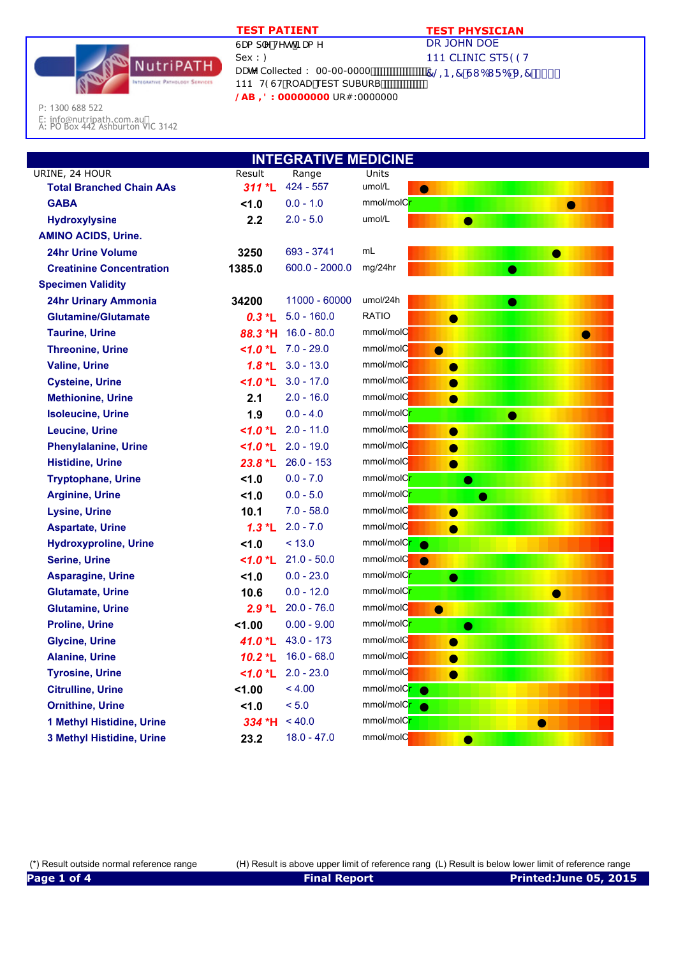

## **TEST PATIENT TEST PHYSICIAN**

DR JOHN DOE 111 CLINIC STF 99H DUhY Collected : 00-00-0000 700 7 © B = 7 GI 6I F 6 J = 7 S \$\$

P: 1300 688 522

E: info@nutripath.com.au A: PO Box 442 Ashburton VIC 3142

| <b>INTEGRATIVE MEDICINE</b>     |                      |                           |                                       |  |  |
|---------------------------------|----------------------|---------------------------|---------------------------------------|--|--|
| URINE, 24 HOUR                  | Result               | Range                     | Units                                 |  |  |
| <b>Total Branched Chain AAs</b> | $311 * L$            | $424 - 557$               | umol/L<br>$\bullet$                   |  |  |
| <b>GABA</b>                     | 1.0                  | $0.0 - 1.0$               | mmol/molC <mark>r</mark><br>$\bullet$ |  |  |
| <b>Hydroxylysine</b>            | 2.2                  | $2.0 - 5.0$               | umol/L<br>●                           |  |  |
| <b>AMINO ACIDS, Urine.</b>      |                      |                           |                                       |  |  |
| <b>24hr Urine Volume</b>        | 3250                 | 693 - 3741                | mL<br>●                               |  |  |
| <b>Creatinine Concentration</b> | 1385.0               | $600.0 - 2000.0$          | mg/24hr<br>●                          |  |  |
| <b>Specimen Validity</b>        |                      |                           |                                       |  |  |
| <b>24hr Urinary Ammonia</b>     | 34200                | 11000 - 60000             | umol/24h<br>$\bullet$                 |  |  |
| <b>Glutamine/Glutamate</b>      | $0.3 *L$             | $5.0 - 160.0$             | <b>RATIO</b><br>$\bullet$             |  |  |
| <b>Taurine, Urine</b>           | 88.3 *H              | $16.0 - 80.0$             | mmol/molC<br>●                        |  |  |
| <b>Threonine, Urine</b>         |                      | $1.0$ *L $7.0 - 29.0$     | mmol/molC<br>$\bullet$                |  |  |
| <b>Valine, Urine</b>            |                      | $1.8$ *L 3.0 - 13.0       | mmol/molC<br>$\bullet$                |  |  |
| <b>Cysteine, Urine</b>          | $<$ 1.0 $^*$ L       | $3.0 - 17.0$              | mmol/molC<br>$\bullet$                |  |  |
| <b>Methionine, Urine</b>        | 2.1                  | $2.0 - 16.0$              | mmol/molC<br>$\bullet$                |  |  |
| <b>Isoleucine, Urine</b>        | 1.9                  | $0.0 - 4.0$               | mmol/molC <mark>r</mark>              |  |  |
| <b>Leucine, Urine</b>           |                      | $\leq 1.0$ *L 2.0 - 11.0  | mmol/molC<br>$\bullet$                |  |  |
| <b>Phenylalanine, Urine</b>     |                      | $1.0$ *L 2.0 - 19.0       | mmol/molC<br>$\bullet$                |  |  |
| <b>Histidine, Urine</b>         |                      | $23.8 *L$ 26.0 - 153      | mmol/molC<br>$\bullet$                |  |  |
| <b>Tryptophane, Urine</b>       | 1.0                  | $0.0 - 7.0$               | mmol/molC <mark>r</mark><br>$\bullet$ |  |  |
| <b>Arginine, Urine</b>          | 1.0                  | $0.0 - 5.0$               | mmol/molC <mark>r</mark><br>$\bullet$ |  |  |
| <b>Lysine, Urine</b>            | 10.1                 | $7.0 - 58.0$              | mmol/molC<br>$\bullet$                |  |  |
| <b>Aspartate, Urine</b>         | $1.3*$ L             | $2.0 - 7.0$               | mmol/molC<br>$\bullet$                |  |  |
| <b>Hydroxyproline, Urine</b>    | 1.0                  | < 13.0                    | mmol/molC <mark>r</mark><br>$\bullet$ |  |  |
| <b>Serine, Urine</b>            |                      | $\leq 1.0$ *L 21.0 - 50.0 | mmol/molC<br>$\bullet$                |  |  |
| <b>Asparagine, Urine</b>        | 1.0                  | $0.0 - 23.0$              | mmol/molC <mark>r</mark><br>$\bullet$ |  |  |
| <b>Glutamate, Urine</b>         | 10.6                 | $0.0 - 12.0$              | mmol/molC <mark>r</mark><br>О         |  |  |
| <b>Glutamine, Urine</b>         | $2.9 *L$             | $20.0 - 76.0$             | mmol/molC<br>$\bullet$                |  |  |
| <b>Proline, Urine</b>           | 1.00                 | $0.00 - 9.00$             | mmol/molC <mark>r</mark><br>$\bullet$ |  |  |
| <b>Glycine, Urine</b>           | 41.0 <b>L</b>        | $43.0 - 173$              | mmol/molC<br>$\bullet$                |  |  |
| <b>Alanine, Urine</b>           |                      | $10.2 *L$ 16.0 - 68.0     | mmol/molC<br>$\bullet$                |  |  |
| <b>Tyrosine, Urine</b>          | $<$ 1.0 $^{\star}$ L | $2.0 - 23.0$              | mmol/molC<br>$\bullet$                |  |  |
| <b>Citrulline, Urine</b>        | 1.00                 | < 4.00                    | mmol/molC <mark>r</mark><br>$\bullet$ |  |  |
| <b>Ornithine, Urine</b>         | 1.0                  | < 5.0                     | mmol/molC <mark>r</mark><br>$\bullet$ |  |  |
| 1 Methyl Histidine, Urine       | 334 *H               | < 40.0                    | mmol/molC <mark>r</mark><br>0         |  |  |
| 3 Methyl Histidine, Urine       | 23.2                 | $18.0 - 47.0$             | mmol/molC<br>Ο                        |  |  |

(\*) Result outside normal reference range (H) Result is above upper limit of reference rang (L) Result is below lower limit of reference range **Page 1 of 4 Final Report Printed:June 05, 2015**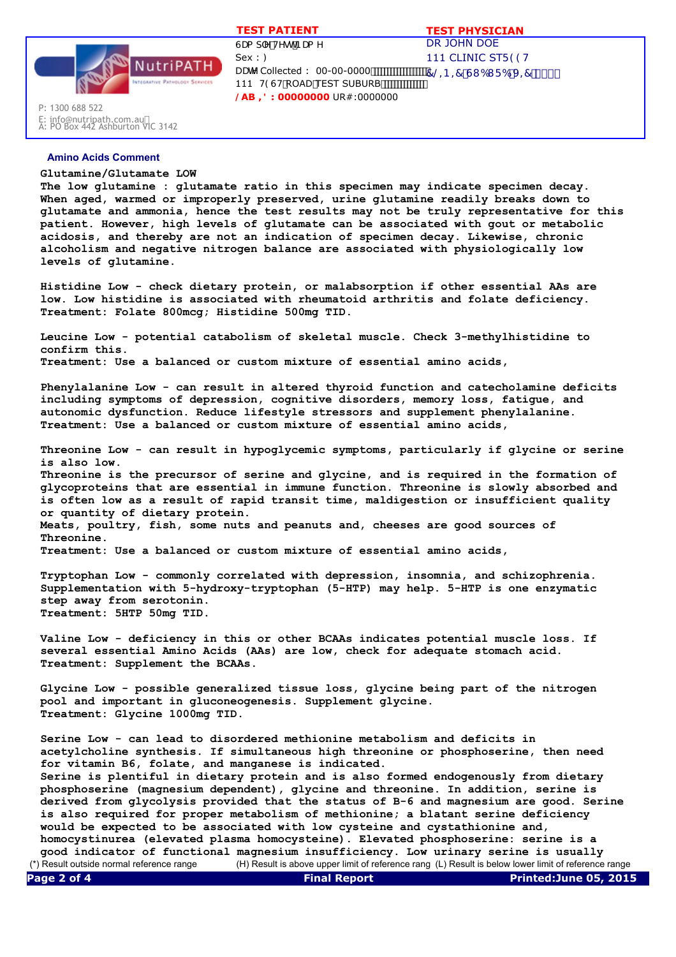

DR JOHN DOE 111 CLINIC STF 99H  $7@ - B = 7 G1 61 F6 J = 7$  \$\$\$ GUa d'Y HYghBUa Y  $Sex:$ : DUHY Collected : 00-00-0000 111 H9GH ROAD TEST SUBURB **/AB ,': 00000000** UR#:0000000  **TEST PATIENT TEST PHYSICIAN**

## E: info@nutripath.com.au A: PO Box 442 Ashburton VIC 3142

P: 1300 688 522

## **Amino Acids Comment**

## **Glutamine/Glutamate LOW**

**The low glutamine : glutamate ratio in this specimen may indicate specimen decay. When aged, warmed or improperly preserved, urine glutamine readily breaks down to glutamate and ammonia, hence the test results may not be truly representative for this patient. However, high levels of glutamate can be associated with gout or metabolic acidosis, and thereby are not an indication of specimen decay. Likewise, chronic alcoholism and negative nitrogen balance are associated with physiologically low levels of glutamine.**

**Histidine Low - check dietary protein, or malabsorption if other essential AAs are low. Low histidine is associated with rheumatoid arthritis and folate deficiency. Treatment: Folate 800mcg; Histidine 500mg TID.**

**Leucine Low - potential catabolism of skeletal muscle. Check 3-methylhistidine to confirm this. Treatment: Use a balanced or custom mixture of essential amino acids,**

**Phenylalanine Low - can result in altered thyroid function and catecholamine deficits including symptoms of depression, cognitive disorders, memory loss, fatigue, and autonomic dysfunction. Reduce lifestyle stressors and supplement phenylalanine. Treatment: Use a balanced or custom mixture of essential amino acids,**

**Threonine Low - can result in hypoglycemic symptoms, particularly if glycine or serine is also low. Threonine is the precursor of serine and glycine, and is required in the formation of glycoproteins that are essential in immune function. Threonine is slowly absorbed and is often low as a result of rapid transit time, maldigestion or insufficient quality or quantity of dietary protein. Meats, poultry, fish, some nuts and peanuts and, cheeses are good sources of Threonine. Treatment: Use a balanced or custom mixture of essential amino acids,**

**Tryptophan Low - commonly correlated with depression, insomnia, and schizophrenia. Supplementation with 5-hydroxy-tryptophan (5-HTP) may help. 5-HTP is one enzymatic step away from serotonin. Treatment: 5HTP 50mg TID.**

**Valine Low - deficiency in this or other BCAAs indicates potential muscle loss. If several essential Amino Acids (AAs) are low, check for adequate stomach acid. Treatment: Supplement the BCAAs.**

**Glycine Low - possible generalized tissue loss, glycine being part of the nitrogen pool and important in gluconeogenesis. Supplement glycine. Treatment: Glycine 1000mg TID.**

**Serine Low - can lead to disordered methionine metabolism and deficits in acetylcholine synthesis. If simultaneous high threonine or phosphoserine, then need for vitamin B6, folate, and manganese is indicated.**

**Serine is plentiful in dietary protein and is also formed endogenously from dietary phosphoserine (magnesium dependent), glycine and threonine. In addition, serine is derived from glycolysis provided that the status of B-6 and magnesium are good. Serine is also required for proper metabolism of methionine; a blatant serine deficiency would be expected to be associated with low cysteine and cystathionine and, homocystinurea (elevated plasma homocysteine). Elevated phosphoserine: serine is a** 

**good indicator of functional magnesium insufficiency. Low urinary serine is usually**  (\*) Result outside normal reference range (H) Result is above upper limit of reference rang (L) Result is below lower limit of reference range **Page 2 of 4 Final Report Printed:June 05, 2015**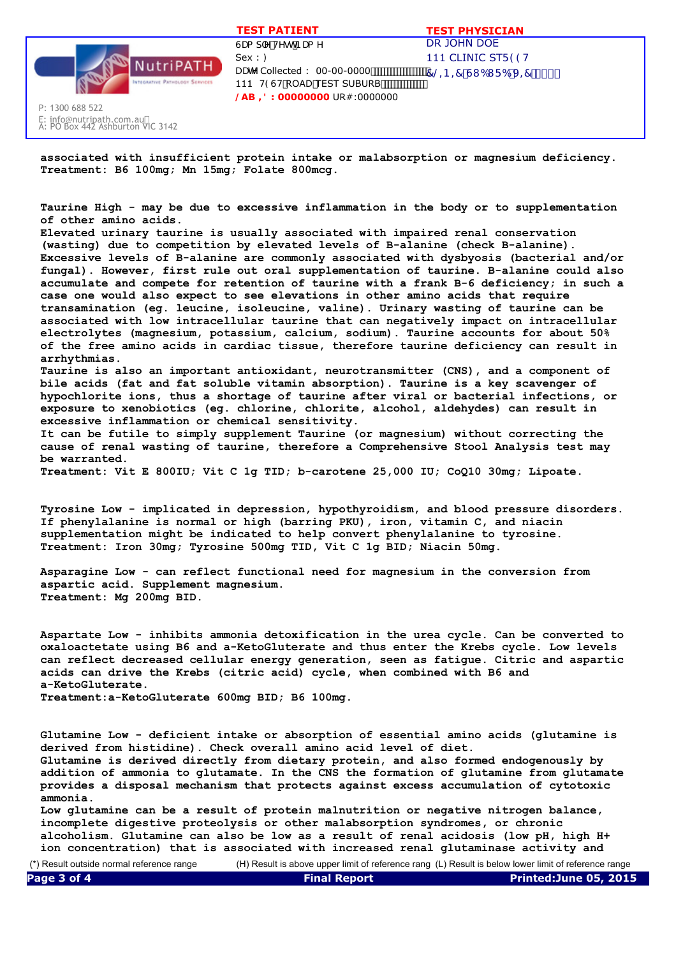

E: info@nutripath.com.au A: PO Box 442 Ashburton VIC 3142

P: 1300 688 522

DR JOHN DOE 111 CLINIC STF 99H  $7@ - B = 7 G1 61 F6 J = 7$  \$\$\$ GUa d'Y'HYgh'BUa Y  $Sex:$ : DUHY Collected : 00-00-0000 111 H9GH ROAD TEST SUBURB **/AB ,': 00000000** UR#:0000000  **TEST PATIENT TEST PHYSICIAN**

**associated with insufficient protein intake or malabsorption or magnesium deficiency. Treatment: B6 100mg; Mn 15mg; Folate 800mcg.**

**Taurine High - may be due to excessive inflammation in the body or to supplementation of other amino acids.**

**Elevated urinary taurine is usually associated with impaired renal conservation (wasting) due to competition by elevated levels of B-alanine (check B-alanine). Excessive levels of B-alanine are commonly associated with dysbyosis (bacterial and/or fungal). However, first rule out oral supplementation of taurine. B-alanine could also accumulate and compete for retention of taurine with a frank B-6 deficiency; in such a case one would also expect to see elevations in other amino acids that require transamination (eg. leucine, isoleucine, valine). Urinary wasting of taurine can be associated with low intracellular taurine that can negatively impact on intracellular electrolytes (magnesium, potassium, calcium, sodium). Taurine accounts for about 50% of the free amino acids in cardiac tissue, therefore taurine deficiency can result in arrhythmias.** 

**Taurine is also an important antioxidant, neurotransmitter (CNS), and a component of bile acids (fat and fat soluble vitamin absorption). Taurine is a key scavenger of hypochlorite ions, thus a shortage of taurine after viral or bacterial infections, or exposure to xenobiotics (eg. chlorine, chlorite, alcohol, aldehydes) can result in excessive inflammation or chemical sensitivity.**

**It can be futile to simply supplement Taurine (or magnesium) without correcting the cause of renal wasting of taurine, therefore a Comprehensive Stool Analysis test may be warranted.**

**Treatment: Vit E 800IU; Vit C 1g TID; b-carotene 25,000 IU; CoQ10 30mg; Lipoate.**

**Tyrosine Low - implicated in depression, hypothyroidism, and blood pressure disorders. If phenylalanine is normal or high (barring PKU), iron, vitamin C, and niacin supplementation might be indicated to help convert phenylalanine to tyrosine. Treatment: Iron 30mg; Tyrosine 500mg TID, Vit C 1g BID; Niacin 50mg.**

**Asparagine Low - can reflect functional need for magnesium in the conversion from aspartic acid. Supplement magnesium. Treatment: Mg 200mg BID.**

**Aspartate Low - inhibits ammonia detoxification in the urea cycle. Can be converted to oxaloactetate using B6 and a-KetoGluterate and thus enter the Krebs cycle. Low levels can reflect decreased cellular energy generation, seen as fatigue. Citric and aspartic acids can drive the Krebs (citric acid) cycle, when combined with B6 and a-KetoGluterate.** 

**Treatment:a-KetoGluterate 600mg BID; B6 100mg.**

**Glutamine Low - deficient intake or absorption of essential amino acids (glutamine is derived from histidine). Check overall amino acid level of diet. Glutamine is derived directly from dietary protein, and also formed endogenously by addition of ammonia to glutamate. In the CNS the formation of glutamine from glutamate provides a disposal mechanism that protects against excess accumulation of cytotoxic ammonia.**

**Low glutamine can be a result of protein malnutrition or negative nitrogen balance, incomplete digestive proteolysis or other malabsorption syndromes, or chronic alcoholism. Glutamine can also be low as a result of renal acidosis (low pH, high H+ ion concentration) that is associated with increased renal glutaminase activity and**